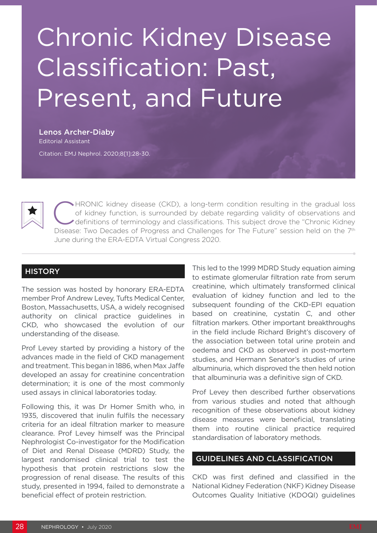# Chronic Kidney Disease Classification: Past, Present, and Future

Lenos Archer-Diaby Editorial Assistant

Citation: EMJ Nephrol. 2020;8[1]:28-30.



CHRONIC kidney disease (CKD), a long-term condition resulting in the gradual loss<br>of kidney function, is surrounded by debate regarding validity of observations and<br>definitions of terminology and classifications. This subj of kidney function, is surrounded by debate regarding validity of observations and Disease: Two Decades of Progress and Challenges for The Future" session held on the 7th June during the ERA-EDTA Virtual Congress 2020.

## **HISTORY**

The session was hosted by honorary ERA-EDTA member Prof Andrew Levey, Tufts Medical Center, Boston, Massachusetts, USA, a widely recognised authority on clinical practice guidelines in CKD, who showcased the evolution of our understanding of the disease.

Prof Levey started by providing a history of the advances made in the field of CKD management and treatment. This began in 1886, when Max Jaffe developed an assay for creatinine concentration determination; it is one of the most commonly used assays in clinical laboratories today.

Following this, it was Dr Homer Smith who, in 1935, discovered that inulin fulfils the necessary criteria for an ideal filtration marker to measure clearance. Prof Levey himself was the Principal Nephrologist Co-investigator for the Modification of Diet and Renal Disease (MDRD) Study, the largest randomised clinical trial to test the hypothesis that protein restrictions slow the progression of renal disease. The results of this study, presented in 1994, failed to demonstrate a beneficial effect of protein restriction.

This led to the 1999 MDRD Study equation aiming to estimate glomerular filtration rate from serum creatinine, which ultimately transformed clinical evaluation of kidney function and led to the subsequent founding of the CKD-EPI equation based on creatinine, cystatin C, and other filtration markers. Other important breakthroughs in the field include Richard Bright's discovery of the association between total urine protein and oedema and CKD as observed in post-mortem studies, and Hermann Senator's studies of urine albuminuria, which disproved the then held notion that albuminuria was a definitive sign of CKD.

Prof Levey then described further observations from various studies and noted that although recognition of these observations about kidney disease measures were beneficial, translating them into routine clinical practice required standardisation of laboratory methods.

#### GUIDELINES AND CLASSIFICATION

CKD was first defined and classified in the National Kidney Federation (NKF) Kidney Disease Outcomes Quality Initiative (KDOQI) guidelines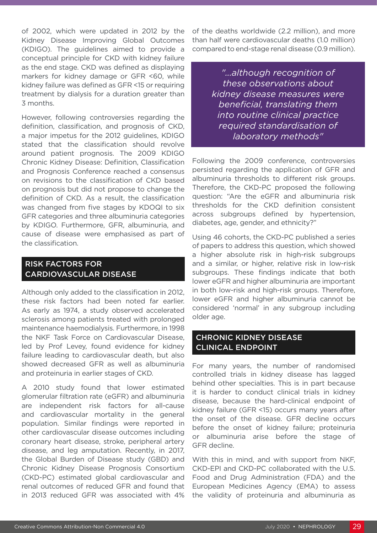of 2002, which were updated in 2012 by the Kidney Disease Improving Global Outcomes (KDIGO). The guidelines aimed to provide a conceptual principle for CKD with kidney failure as the end stage. CKD was defined as displaying markers for kidney damage or GFR <60, while kidney failure was defined as GFR <15 or requiring treatment by dialysis for a duration greater than 3 months.

However, following controversies regarding the definition, classification, and prognosis of CKD, a major impetus for the 2012 guidelines, KDIGO stated that the classification should revolve around patient prognosis. The 2009 KDIGO Chronic Kidney Disease: Definition, Classification and Prognosis Conference reached a consensus on revisions to the classification of CKD based on prognosis but did not propose to change the definition of CKD. As a result, the classification was changed from five stages by KDOQI to six GFR categories and three albuminuria categories by KDIGO. Furthermore, GFR, albuminuria, and cause of disease were emphasised as part of the classification.

## RISK FACTORS FOR CARDIOVASCULAR DISEASE

Although only added to the classification in 2012, these risk factors had been noted far earlier. As early as 1974, a study observed accelerated sclerosis among patients treated with prolonged maintenance haemodialysis. Furthermore, in 1998 the NKF Task Force on Cardiovascular Disease, led by Prof Levey, found evidence for kidney failure leading to cardiovascular death, but also showed decreased GFR as well as albuminuria and proteinuria in earlier stages of CKD.

A 2010 study found that lower estimated glomerular filtration rate (eGFR) and albuminuria are independent risk factors for all-cause and cardiovascular mortality in the general population. Similar findings were reported in other cardiovascular disease outcomes including coronary heart disease, stroke, peripheral artery disease, and leg amputation. Recently, in 2017, the Global Burden of Disease study (GBD) and Chronic Kidney Disease Prognosis Consortium (CKD-PC) estimated global cardiovascular and renal outcomes of reduced GFR and found that in 2013 reduced GFR was associated with 4%

of the deaths worldwide (2.2 million), and more than half were cardiovascular deaths (1.0 million) compared to end-stage renal disease (0.9 million).

> *"...although recognition of these observations about kidney disease measures were beneficial, translating them into routine clinical practice required standardisation of laboratory methods"*

Following the 2009 conference, controversies persisted regarding the application of GFR and albuminuria thresholds to different risk groups. Therefore, the CKD-PC proposed the following question: "Are the eGFR and albuminuria risk thresholds for the CKD definition consistent across subgroups defined by hypertension, diabetes, age, gender, and ethnicity?"

Using 46 cohorts, the CKD-PC published a series of papers to address this question, which showed a higher absolute risk in high-risk subgroups and a similar, or higher, relative risk in low-risk subgroups. These findings indicate that both lower eGFR and higher albuminuria are important in both low-risk and high-risk groups. Therefore, lower eGFR and higher albuminuria cannot be considered 'normal' in any subgroup including older age.

## CHRONIC KIDNEY DISEASE CLINICAL ENDPOINT

For many years, the number of randomised controlled trials in kidney disease has lagged behind other specialties. This is in part because it is harder to conduct clinical trials in kidney disease, because the hard-clinical endpoint of kidney failure (GFR <15) occurs many years after the onset of the disease. GFR decline occurs before the onset of kidney failure; proteinuria or albuminuria arise before the stage of GFR decline.

With this in mind, and with support from NKF, CKD-EPI and CKD-PC collaborated with the U.S. Food and Drug Administration (FDA) and the European Medicines Agency (EMA) to assess the validity of proteinuria and albuminuria as